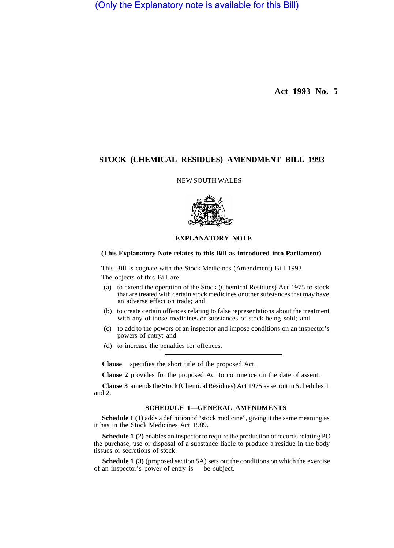(Only the Explanatory note is available for this Bill)

**Act 1993 No. 5** 

# **STOCK (CHEMICAL RESIDUES) AMENDMENT BILL 1993**

### NEW SOUTH WALES



# **EXPLANATORY NOTE**

## **(This Explanatory Note relates to this Bill as introduced into Parliament)**

This Bill is cognate with the Stock Medicines (Amendment) Bill 1993.

The objects of this Bill are:

- (a) to extend the operation of the Stock (Chemical Residues) Act 1975 to stock that are treated with certain stock medicines or other substances that may have an adverse effect on trade; and
- (b) to create certain offences relating to false representations about the treatment with any of those medicines or substances of stock being sold; and
- (c) to add to the powers of an inspector and impose conditions on an inspector's powers of entry; and
- (d) to increase the penalties for offences.

**Clause** specifies the short title of the proposed Act.

**Clause 2** provides for the proposed Act to commence on the date of assent.

**Clause 3** amends the Stock (Chemical Residues) Act 1975 as set out in Schedules 1 and 2.

### **SCHEDULE 1—GENERAL AMENDMENTS**

**Schedule 1 (1)** adds a definition of "stock medicine", giving it the same meaning as it has in the Stock Medicines Act 1989.

**Schedule 1 (2)** enables an inspector to require the production of records relating PO the purchase, use or disposal of a substance liable to produce a residue in the body tissues or secretions of stock.

**Schedule 1 (3)** (proposed section 5A) sets out the conditions on which the exercise of an inspector's power of entry is be subject.